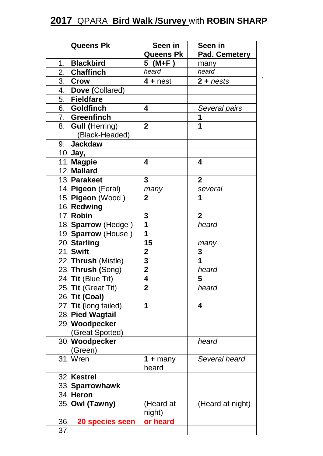## **2017** QPARA **Bird Walk /Survey** with **ROBIN SHARP**

,

|     | <b>Queens Pk</b>      | Seen in           | Seen in             |
|-----|-----------------------|-------------------|---------------------|
|     |                       | <b>Queens Pk</b>  | Pad. Cemetery       |
| 1.  | <b>Blackbird</b>      | 5 (M+F)           | many                |
|     | 2. Chaffinch          | heard             | heard               |
|     | $3.$ Crow             | $4 +$ nest        | $2 + n \text{ests}$ |
|     | 4.   Dove (Collared)  |                   |                     |
| 5.  | <b>Fieldfare</b>      |                   |                     |
|     | 6. Goldfinch          | 4                 | Several pairs       |
|     | 7.   Greenfinch       |                   | 1                   |
| 8.  | <b>Gull (Herring)</b> | $\overline{2}$    | 1                   |
|     | (Black-Headed)        |                   |                     |
| 9.  | Jackdaw               |                   |                     |
|     | 10 Jay,               |                   |                     |
|     | 11 Magpie             | 4                 | 4                   |
|     | 12 Mallard            |                   |                     |
|     | 13 Parakeet           | 3                 | $\overline{2}$      |
|     | 14 Pigeon (Feral)     | many              | several             |
|     | 15 Pigeon (Wood)      | $\overline{2}$    | 1                   |
|     | 16 Redwing            |                   |                     |
|     | 17 Robin              | 3                 | $\overline{2}$      |
|     | 18 Sparrow (Hedge)    | 1                 | heard               |
|     | 19 Sparrow (House     | 1                 |                     |
|     | 20 Starling           | 15                | many                |
|     | 21 Swift              | $\overline{2}$    | 3                   |
|     | 22 Thrush (Mistle)    | 3                 | 1                   |
|     | 23 Thrush (Song)      | $\overline{2}$    | heard               |
|     | 24 Tit (Blue Tit)     | 4                 | 5                   |
|     | 25 Tit (Great Tit)    | $\mathbf{2}$      | heard               |
|     | 26 Tit (Coal)         |                   |                     |
|     | 27 Tit (long tailed)  | 1                 | 4                   |
|     | 28 Pied Wagtail       |                   |                     |
|     | 29 Woodpecker         |                   |                     |
|     | (Great Spotted)       |                   |                     |
|     | 30 Woodpecker         |                   | heard               |
|     | (Green)               |                   |                     |
|     | 31. Wren              | 1 + many<br>heard | Several heard       |
| 32. | <b>Kestrel</b>        |                   |                     |
|     | 33 Sparrowhawk        |                   |                     |
|     | 34 Heron              |                   |                     |
|     | 35 Owl (Tawny)        | (Heard at         | (Heard at night)    |
|     |                       | night)            |                     |
| 36  | 20 species seen       | or heard          |                     |
| 37. |                       |                   |                     |